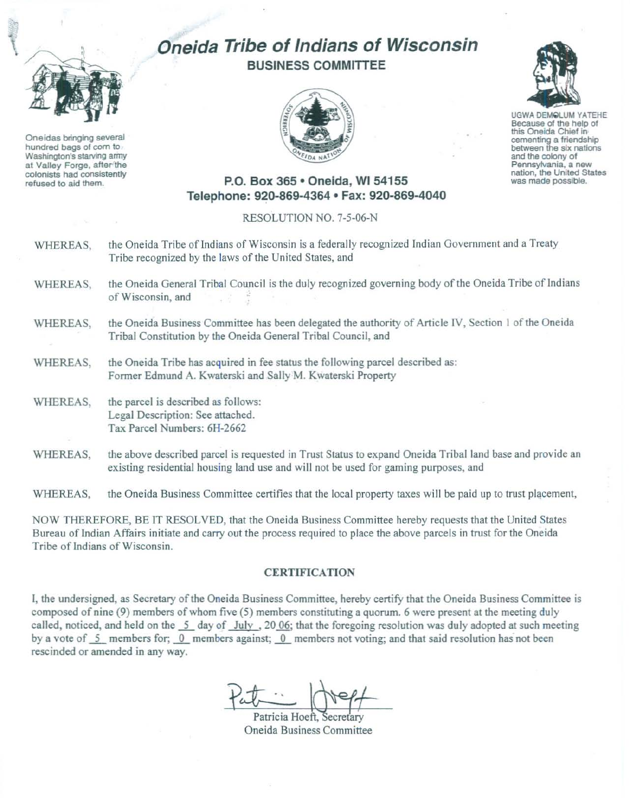## Oneida Tribe of Indians of Wisconsin BUSINESS COMMITTEE



UGWA OEMQlUM YATEHE Because of the help of this Oneida Chief in cementing a friendship between the six nations and the colony of<br>Pennsylvania, a new nation, the United States

was made possible.

P.O. Box 365 · Oneida, WI 54155 Telephone: 920-869-4364 • Fax: 920·869-4040

## RESOLUTION NO. 7-5-06-N

WHEREAS, the Oneida Tribe of Indians of Wisconsin is a federally recognized Indian Government and a Treaty Tribe recognized by the laws of the United States, and

- WHEREAS, the Oneida General Tribal Council is the duly recognized governing body of the Oneida Tribe of Indians of Wisconsin, and
- WHEREAS, the Oneida Business Committee has been delegated the authority of Article IV, Section 1 of the Oneida Tribal Constitution by the Oneida General Tribal Council, and
- WHEREAS, the Oneida Tribe has acquired in fee status the following parcel described as: Former Edmund A. Kwaterski and Sally M. Kwaterski Property
- WHEREAS, the parcel is described as follows: Legal Description: See attached. Tax Parcel Numbers: 6H-2662
- WHEREAS, the above described parcel is requested in Trust Status to expand Oneida Tribal land base and provide an existing residential housing land use and will not be used for gaming purposes, and

WHEREAS, the Oneida Business Committee certifies that the local property taxes will be paid up to trust placement,

NOW THEREFORE, BE IT RESOLVED, that the Oneida Business Committee hereby requests that the United States Bureau of Indian Affairs initiate and carry out the process required to place the above parcels in trust for the Oneida Tribe of Indians of Wisconsin.

## **CERTIFICATION**

I, the undersigned, as Secretary of the Oneida Business Committee, hereby certify that the Oneida Business Committee is composed of nine (9) members of whom five (5) members constituting a quorum. 6 were present at the meeting duly called, noticed, and held on the 5 day of July , 20 06; that the foregoing resolution was duly adopted at such meeting by a vote of  $\overline{5}$  members for;  $\overline{0}$  members against;  $\overline{0}$  members not voting; and that said resolution has not been rescinded or amended in any way.

Patricia Hoeft, Secretary Oneida Business Committee



Oneidas bringing several hundred bags of com to Washington's starving army at Valley Forge, after the colonists had consistently refused to aid them.